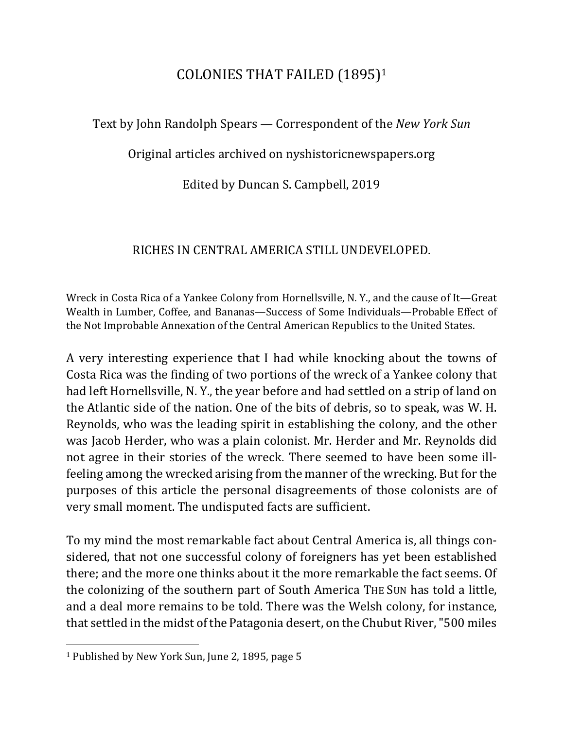## COLONIES THAT FAILED (1895)<sup>1</sup>

Text by John Randolph Spears — Correspondent of the *New York Sun* 

Original articles archived on nyshistoricnewspapers.org

Edited by Duncan S. Campbell, 2019

## RICHES IN CENTRAL AMERICA STILL UNDEVELOPED.

Wreck in Costa Rica of a Yankee Colony from Hornellsville, N.Y., and the cause of It—Great Wealth in Lumber, Coffee, and Bananas—Success of Some Individuals—Probable Effect of the Not Improbable Annexation of the Central American Republics to the United States.

A very interesting experience that I had while knocking about the towns of Costa Rica was the finding of two portions of the wreck of a Yankee colony that had left Hornellsville, N.Y., the year before and had settled on a strip of land on the Atlantic side of the nation. One of the bits of debris, so to speak, was W. H. Reynolds, who was the leading spirit in establishing the colony, and the other was Jacob Herder, who was a plain colonist. Mr. Herder and Mr. Reynolds did not agree in their stories of the wreck. There seemed to have been some illfeeling among the wrecked arising from the manner of the wrecking. But for the purposes of this article the personal disagreements of those colonists are of very small moment. The undisputed facts are sufficient.

To my mind the most remarkable fact about Central America is, all things considered, that not one successful colony of foreigners has yet been established there; and the more one thinks about it the more remarkable the fact seems. Of the colonizing of the southern part of South America THE SUN has told a little, and a deal more remains to be told. There was the Welsh colony, for instance, that settled in the midst of the Patagonia desert, on the Chubut River, "500 miles

 $\overline{\phantom{a}}$ 

<sup>&</sup>lt;sup>1</sup> Published by New York Sun, June 2, 1895, page 5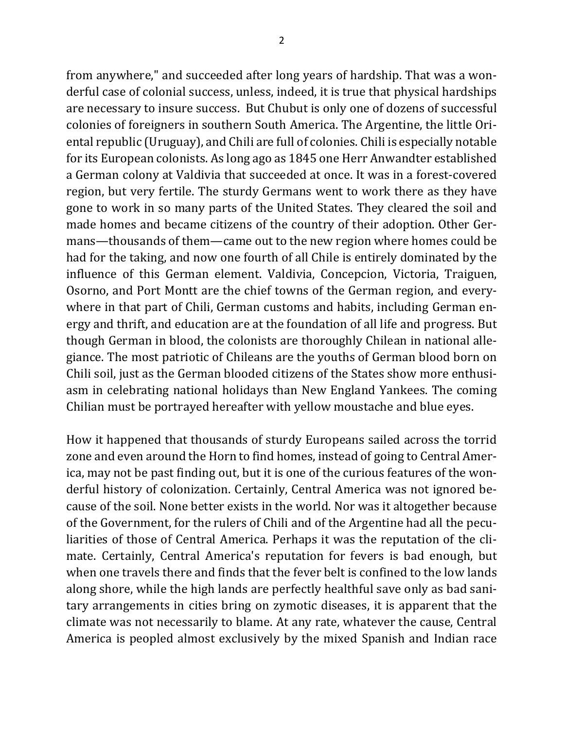from anywhere," and succeeded after long years of hardship. That was a wonderful case of colonial success, unless, indeed, it is true that physical hardships are necessary to insure success. But Chubut is only one of dozens of successful colonies of foreigners in southern South America. The Argentine, the little Oriental republic (Uruguay), and Chili are full of colonies. Chili is especially notable for its European colonists. As long ago as 1845 one Herr Anwandter established a German colony at Valdivia that succeeded at once. It was in a forest-covered region, but very fertile. The sturdy Germans went to work there as they have gone to work in so many parts of the United States. They cleared the soil and made homes and became citizens of the country of their adoption. Other Germans—thousands of them—came out to the new region where homes could be had for the taking, and now one fourth of all Chile is entirely dominated by the influence of this German element. Valdivia, Concepcion, Victoria, Traiguen, Osorno, and Port Montt are the chief towns of the German region, and everywhere in that part of Chili, German customs and habits, including German energy and thrift, and education are at the foundation of all life and progress. But though German in blood, the colonists are thoroughly Chilean in national allegiance. The most patriotic of Chileans are the youths of German blood born on Chili soil, just as the German blooded citizens of the States show more enthusiasm in celebrating national holidays than New England Yankees. The coming Chilian must be portrayed hereafter with yellow moustache and blue eyes.

How it happened that thousands of sturdy Europeans sailed across the torrid zone and even around the Horn to find homes, instead of going to Central America, may not be past finding out, but it is one of the curious features of the wonderful history of colonization. Certainly, Central America was not ignored because of the soil. None better exists in the world. Nor was it altogether because of the Government, for the rulers of Chili and of the Argentine had all the peculiarities of those of Central America. Perhaps it was the reputation of the climate. Certainly, Central America's reputation for fevers is bad enough, but when one travels there and finds that the fever belt is confined to the low lands along shore, while the high lands are perfectly healthful save only as bad sanitary arrangements in cities bring on zymotic diseases, it is apparent that the climate was not necessarily to blame. At any rate, whatever the cause, Central America is peopled almost exclusively by the mixed Spanish and Indian race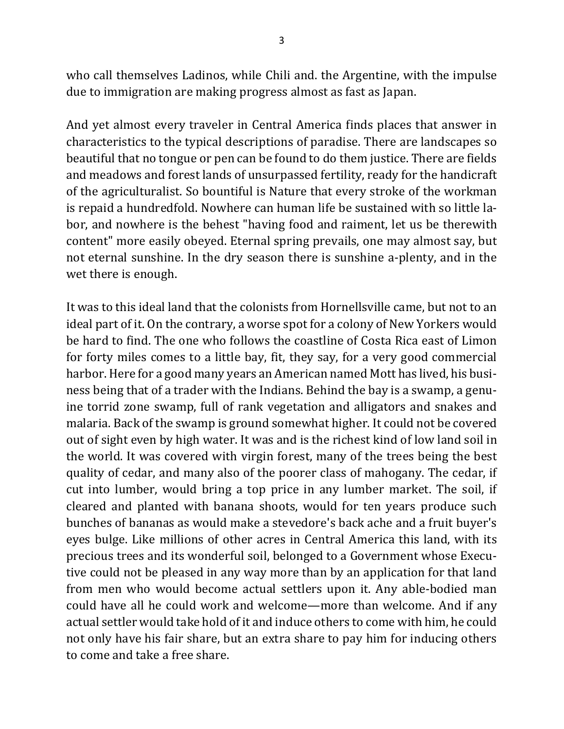who call themselves Ladinos, while Chili and. the Argentine, with the impulse due to immigration are making progress almost as fast as Japan.

And yet almost every traveler in Central America finds places that answer in characteristics to the typical descriptions of paradise. There are landscapes so beautiful that no tongue or pen can be found to do them justice. There are fields and meadows and forest lands of unsurpassed fertility, ready for the handicraft of the agriculturalist. So bountiful is Nature that every stroke of the workman is repaid a hundredfold. Nowhere can human life be sustained with so little labor, and nowhere is the behest "having food and raiment, let us be therewith content" more easily obeyed. Eternal spring prevails, one may almost say, but not eternal sunshine. In the dry season there is sunshine a-plenty, and in the wet there is enough.

It was to this ideal land that the colonists from Hornellsville came, but not to an ideal part of it. On the contrary, a worse spot for a colony of New Yorkers would be hard to find. The one who follows the coastline of Costa Rica east of Limon for forty miles comes to a little bay, fit, they say, for a very good commercial harbor. Here for a good many years an American named Mott has lived, his business being that of a trader with the Indians. Behind the bay is a swamp, a genuine torrid zone swamp, full of rank vegetation and alligators and snakes and malaria. Back of the swamp is ground somewhat higher. It could not be covered out of sight even by high water. It was and is the richest kind of low land soil in the world. It was covered with virgin forest, many of the trees being the best quality of cedar, and many also of the poorer class of mahogany. The cedar, if cut into lumber, would bring a top price in any lumber market. The soil, if cleared and planted with banana shoots, would for ten years produce such bunches of bananas as would make a stevedore's back ache and a fruit buyer's eyes bulge. Like millions of other acres in Central America this land, with its precious trees and its wonderful soil, belonged to a Government whose Executive could not be pleased in any way more than by an application for that land from men who would become actual settlers upon it. Any able-bodied man could have all he could work and welcome—more than welcome. And if any actual settler would take hold of it and induce others to come with him, he could not only have his fair share, but an extra share to pay him for inducing others to come and take a free share.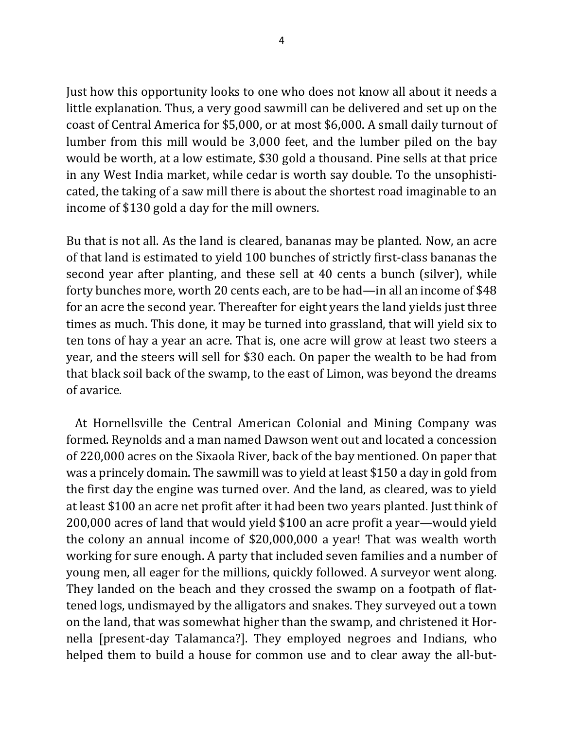Just how this opportunity looks to one who does not know all about it needs a little explanation. Thus, a very good sawmill can be delivered and set up on the coast of Central America for \$5,000, or at most \$6,000. A small daily turnout of lumber from this mill would be 3,000 feet, and the lumber piled on the bay would be worth, at a low estimate, \$30 gold a thousand. Pine sells at that price in any West India market, while cedar is worth say double. To the unsophisticated, the taking of a saw mill there is about the shortest road imaginable to an income of \$130 gold a day for the mill owners.

Bu that is not all. As the land is cleared, bananas may be planted. Now, an acre of that land is estimated to yield 100 bunches of strictly first-class bananas the second year after planting, and these sell at 40 cents a bunch (silver), while forty bunches more, worth 20 cents each, are to be had—in all an income of \$48 for an acre the second year. Thereafter for eight years the land yields just three times as much. This done, it may be turned into grassland, that will yield six to ten tons of hay a year an acre. That is, one acre will grow at least two steers a year, and the steers will sell for \$30 each. On paper the wealth to be had from that black soil back of the swamp, to the east of Limon, was beyond the dreams of avarice.

At Hornellsville the Central American Colonial and Mining Company was formed. Reynolds and a man named Dawson went out and located a concession of 220,000 acres on the Sixaola River, back of the bay mentioned. On paper that was a princely domain. The sawmill was to yield at least \$150 a day in gold from the first day the engine was turned over. And the land, as cleared, was to yield at least \$100 an acre net profit after it had been two years planted. Just think of 200,000 acres of land that would yield \$100 an acre profit a year—would yield the colony an annual income of  $$20,000,000$  a year! That was wealth worth working for sure enough. A party that included seven families and a number of young men, all eager for the millions, quickly followed. A surveyor went along. They landed on the beach and they crossed the swamp on a footpath of flattened logs, undismayed by the alligators and snakes. They surveyed out a town on the land, that was somewhat higher than the swamp, and christened it Hornella [present-day Talamanca?]. They employed negroes and Indians, who helped them to build a house for common use and to clear away the all-but-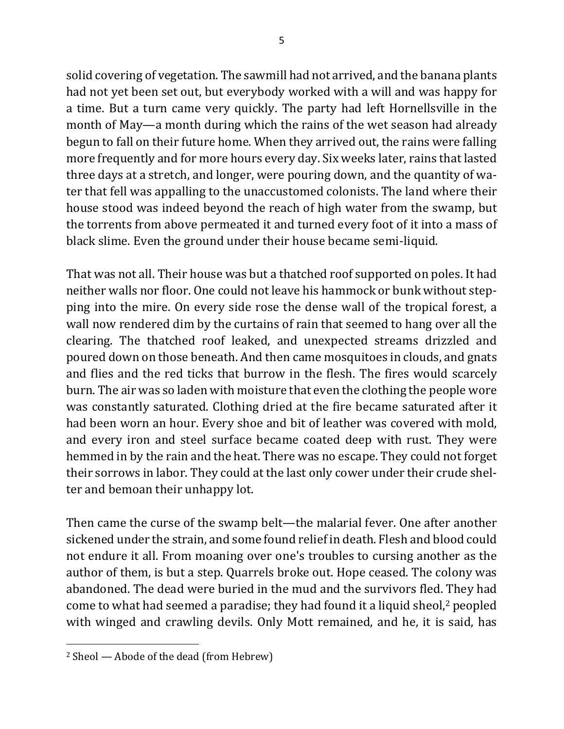solid covering of vegetation. The sawmill had not arrived, and the banana plants had not yet been set out, but everybody worked with a will and was happy for a time. But a turn came very quickly. The party had left Hornellsville in the month of May—a month during which the rains of the wet season had already begun to fall on their future home. When they arrived out, the rains were falling more frequently and for more hours every day. Six weeks later, rains that lasted three days at a stretch, and longer, were pouring down, and the quantity of water that fell was appalling to the unaccustomed colonists. The land where their house stood was indeed beyond the reach of high water from the swamp, but the torrents from above permeated it and turned every foot of it into a mass of black slime. Even the ground under their house became semi-liquid.

That was not all. Their house was but a thatched roof supported on poles. It had neither walls nor floor. One could not leave his hammock or bunk without stepping into the mire. On every side rose the dense wall of the tropical forest, a wall now rendered dim by the curtains of rain that seemed to hang over all the clearing. The thatched roof leaked, and unexpected streams drizzled and poured down on those beneath. And then came mosquitoes in clouds, and gnats and flies and the red ticks that burrow in the flesh. The fires would scarcely burn. The air was so laden with moisture that even the clothing the people wore was constantly saturated. Clothing dried at the fire became saturated after it had been worn an hour. Every shoe and bit of leather was covered with mold, and every iron and steel surface became coated deep with rust. They were hemmed in by the rain and the heat. There was no escape. They could not forget their sorrows in labor. They could at the last only cower under their crude shelter and bemoan their unhappy lot.

Then came the curse of the swamp belt—the malarial fever. One after another sickened under the strain, and some found relief in death. Flesh and blood could not endure it all. From moaning over one's troubles to cursing another as the author of them, is but a step. Quarrels broke out. Hope ceased. The colony was abandoned. The dead were buried in the mud and the survivors fled. They had come to what had seemed a paradise; they had found it a liquid sheol,<sup>2</sup> peopled with winged and crawling devils. Only Mott remained, and he, it is said, has

 $\overline{\phantom{a}}$ 

<sup>&</sup>lt;sup>2</sup> Sheol — Abode of the dead (from Hebrew)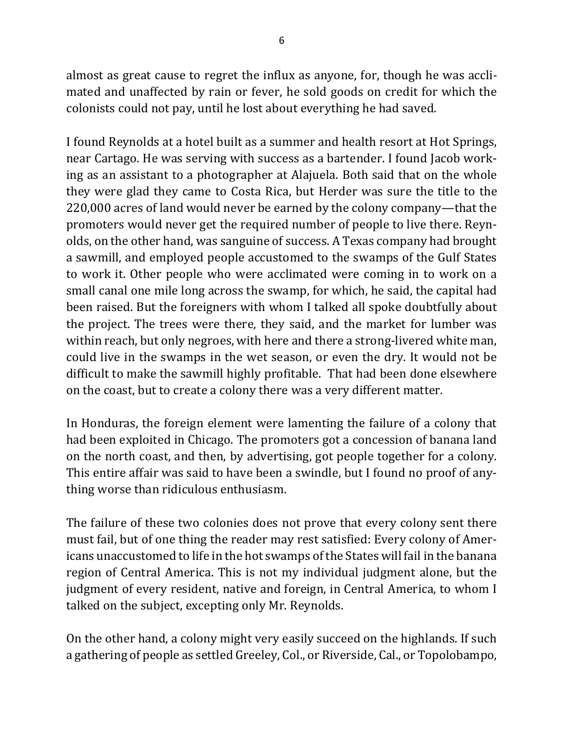almost as great cause to regret the influx as anyone, for, though he was acclimated and unaffected by rain or fever, he sold goods on credit for which the colonists could not pay, until he lost about everything he had saved.

I found Reynolds at a hotel built as a summer and health resort at Hot Springs, near Cartago. He was serving with success as a bartender. I found Jacob working as an assistant to a photographer at Alajuela. Both said that on the whole they were glad they came to Costa Rica, but Herder was sure the title to the 220,000 acres of land would never be earned by the colony company—that the promoters would never get the required number of people to live there. Reynolds, on the other hand, was sanguine of success. A Texas company had brought a sawmill, and employed people accustomed to the swamps of the Gulf States to work it. Other people who were acclimated were coming in to work on a small canal one mile long across the swamp, for which, he said, the capital had been raised. But the foreigners with whom I talked all spoke doubtfully about the project. The trees were there, they said, and the market for lumber was within reach, but only negroes, with here and there a strong-livered white man, could live in the swamps in the wet season, or even the dry. It would not be difficult to make the sawmill highly profitable. That had been done elsewhere on the coast, but to create a colony there was a very different matter.

In Honduras, the foreign element were lamenting the failure of a colony that had been exploited in Chicago. The promoters got a concession of banana land on the north coast, and then, by advertising, got people together for a colony. This entire affair was said to have been a swindle, but I found no proof of anything worse than ridiculous enthusiasm.

The failure of these two colonies does not prove that every colony sent there must fail, but of one thing the reader may rest satisfied: Every colony of Americans unaccustomed to life in the hot swamps of the States will fail in the banana region of Central America. This is not my individual judgment alone, but the judgment of every resident, native and foreign, in Central America, to whom I talked on the subject, excepting only Mr. Reynolds.

On the other hand, a colony might very easily succeed on the highlands. If such a gathering of people as settled Greeley, Col., or Riverside, Cal., or Topolobampo,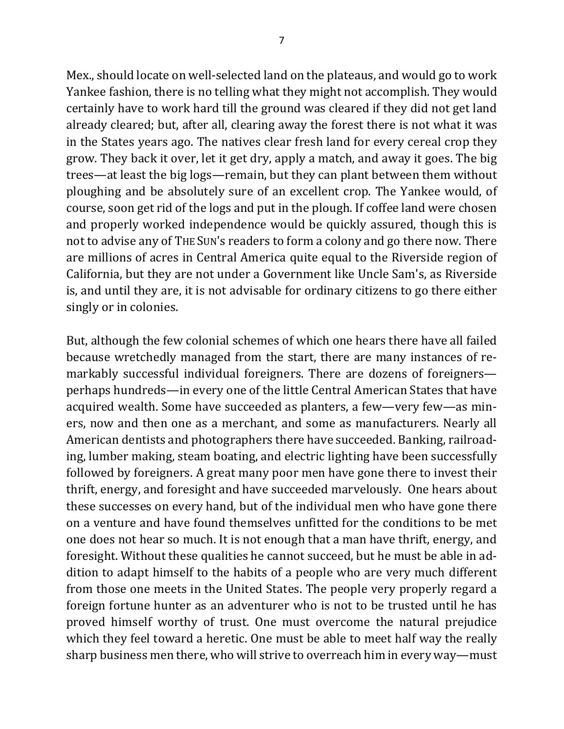Mex., should locate on well-selected land on the plateaus, and would go to work Yankee fashion, there is no telling what they might not accomplish. They would certainly have to work hard till the ground was cleared if they did not get land already cleared; but, after all, clearing away the forest there is not what it was in the States years ago. The natives clear fresh land for every cereal crop they grow. They back it over, let it get dry, apply a match, and away it goes. The big trees—at least the big logs—remain, but they can plant between them without ploughing and be absolutely sure of an excellent crop. The Yankee would, of course, soon get rid of the logs and put in the plough. If coffee land were chosen and properly worked independence would be quickly assured, though this is not to advise any of THE SUN's readers to form a colony and go there now. There are millions of acres in Central America quite equal to the Riverside region of California, but they are not under a Government like Uncle Sam's, as Riverside is, and until they are, it is not advisable for ordinary citizens to go there either singly or in colonies.

But, although the few colonial schemes of which one hears there have all failed because wretchedly managed from the start, there are many instances of remarkably successful individual foreigners. There are dozens of foreignersperhaps hundreds—in every one of the little Central American States that have acquired wealth. Some have succeeded as planters, a few—very few—as miners, now and then one as a merchant, and some as manufacturers. Nearly all American dentists and photographers there have succeeded. Banking, railroading, lumber making, steam boating, and electric lighting have been successfully followed by foreigners. A great many poor men have gone there to invest their thrift, energy, and foresight and have succeeded marvelously. One hears about these successes on every hand, but of the individual men who have gone there on a venture and have found themselves unfitted for the conditions to be met one does not hear so much. It is not enough that a man have thrift, energy, and foresight. Without these qualities he cannot succeed, but he must be able in addition to adapt himself to the habits of a people who are very much different from those one meets in the United States. The people very properly regard a foreign fortune hunter as an adventurer who is not to be trusted until he has proved himself worthy of trust. One must overcome the natural prejudice which they feel toward a heretic. One must be able to meet half way the really sharp business men there, who will strive to overreach him in every way—must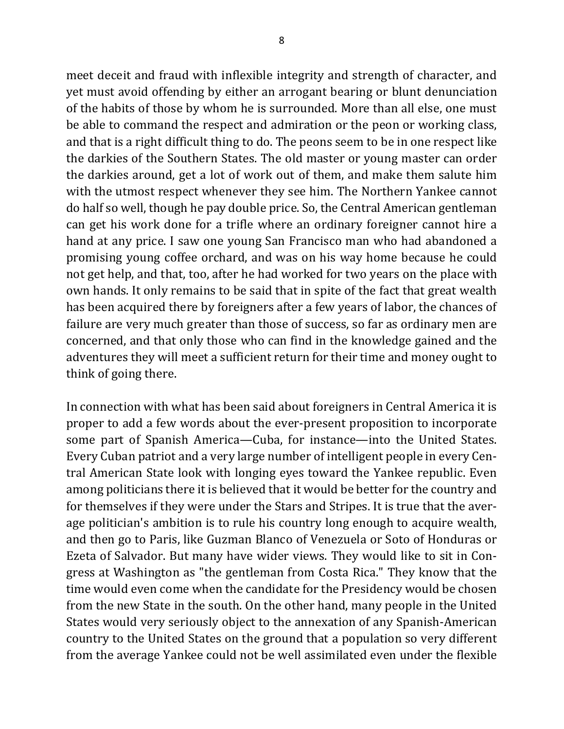meet deceit and fraud with inflexible integrity and strength of character, and yet must avoid offending by either an arrogant bearing or blunt denunciation of the habits of those by whom he is surrounded. More than all else, one must be able to command the respect and admiration or the peon or working class, and that is a right difficult thing to do. The peons seem to be in one respect like the darkies of the Southern States. The old master or young master can order the darkies around, get a lot of work out of them, and make them salute him with the utmost respect whenever they see him. The Northern Yankee cannot do half so well, though he pay double price. So, the Central American gentleman can get his work done for a trifle where an ordinary foreigner cannot hire a hand at any price. I saw one young San Francisco man who had abandoned a promising young coffee orchard, and was on his way home because he could not get help, and that, too, after he had worked for two years on the place with own hands. It only remains to be said that in spite of the fact that great wealth has been acquired there by foreigners after a few years of labor, the chances of failure are very much greater than those of success, so far as ordinary men are concerned, and that only those who can find in the knowledge gained and the adventures they will meet a sufficient return for their time and money ought to think of going there.

In connection with what has been said about foreigners in Central America it is proper to add a few words about the ever-present proposition to incorporate some part of Spanish America—Cuba, for instance—into the United States. Every Cuban patriot and a very large number of intelligent people in every Central American State look with longing eyes toward the Yankee republic. Even among politicians there it is believed that it would be better for the country and for themselves if they were under the Stars and Stripes. It is true that the average politician's ambition is to rule his country long enough to acquire wealth, and then go to Paris, like Guzman Blanco of Venezuela or Soto of Honduras or Ezeta of Salvador. But many have wider views. They would like to sit in Congress at Washington as "the gentleman from Costa Rica." They know that the time would even come when the candidate for the Presidency would be chosen from the new State in the south. On the other hand, many people in the United States would very seriously object to the annexation of any Spanish-American country to the United States on the ground that a population so very different from the average Yankee could not be well assimilated even under the flexible